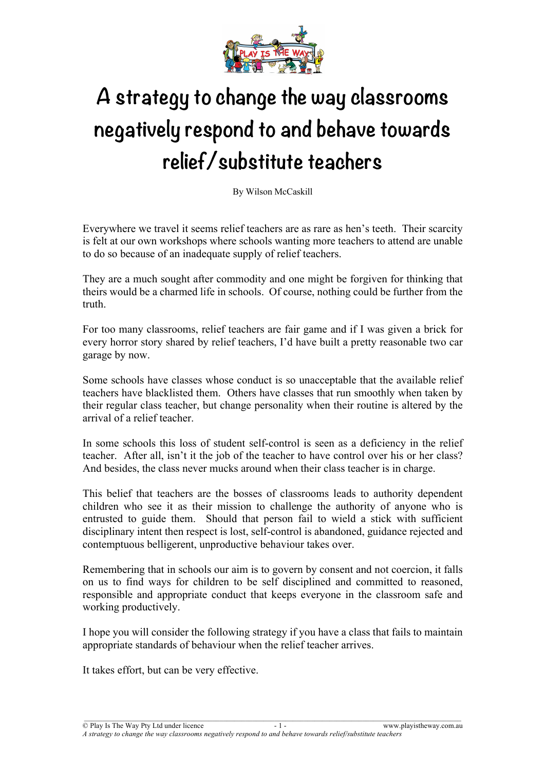

# **A strategy to change the way classrooms negatively respond to and behave towards relief/substitute teachers**

By Wilson McCaskill

Everywhere we travel it seems relief teachers are as rare as hen's teeth. Their scarcity is felt at our own workshops where schools wanting more teachers to attend are unable to do so because of an inadequate supply of relief teachers.

They are a much sought after commodity and one might be forgiven for thinking that theirs would be a charmed life in schools. Of course, nothing could be further from the truth.

For too many classrooms, relief teachers are fair game and if I was given a brick for every horror story shared by relief teachers, I'd have built a pretty reasonable two car garage by now.

Some schools have classes whose conduct is so unacceptable that the available relief teachers have blacklisted them. Others have classes that run smoothly when taken by their regular class teacher, but change personality when their routine is altered by the arrival of a relief teacher.

In some schools this loss of student self-control is seen as a deficiency in the relief teacher. After all, isn't it the job of the teacher to have control over his or her class? And besides, the class never mucks around when their class teacher is in charge.

This belief that teachers are the bosses of classrooms leads to authority dependent children who see it as their mission to challenge the authority of anyone who is entrusted to guide them. Should that person fail to wield a stick with sufficient disciplinary intent then respect is lost, self-control is abandoned, guidance rejected and contemptuous belligerent, unproductive behaviour takes over.

Remembering that in schools our aim is to govern by consent and not coercion, it falls on us to find ways for children to be self disciplined and committed to reasoned, responsible and appropriate conduct that keeps everyone in the classroom safe and working productively.

I hope you will consider the following strategy if you have a class that fails to maintain appropriate standards of behaviour when the relief teacher arrives.

It takes effort, but can be very effective.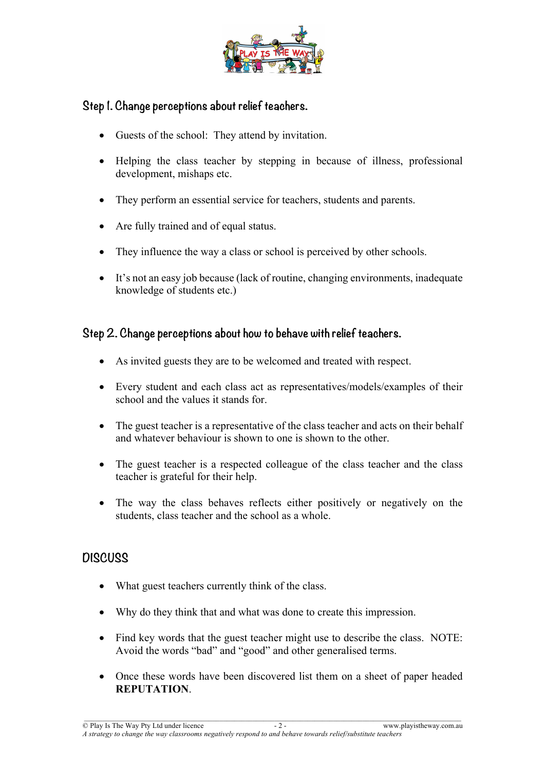

### **Step 1. Change perceptions about relief teachers.**

- Guests of the school: They attend by invitation.
- Helping the class teacher by stepping in because of illness, professional development, mishaps etc.
- They perform an essential service for teachers, students and parents.
- Are fully trained and of equal status.
- They influence the way a class or school is perceived by other schools.
- It's not an easy job because (lack of routine, changing environments, inadequate knowledge of students etc.)

#### **Step 2. Change perceptions about how to behave with relief teachers.**

- As invited guests they are to be welcomed and treated with respect.
- Every student and each class act as representatives/models/examples of their school and the values it stands for.
- The guest teacher is a representative of the class teacher and acts on their behalf and whatever behaviour is shown to one is shown to the other.
- The guest teacher is a respected colleague of the class teacher and the class teacher is grateful for their help.
- The way the class behaves reflects either positively or negatively on the students, class teacher and the school as a whole.

## **DISCUSS**

- What guest teachers currently think of the class.
- Why do they think that and what was done to create this impression.
- Find key words that the guest teacher might use to describe the class. NOTE: Avoid the words "bad" and "good" and other generalised terms.
- Once these words have been discovered list them on a sheet of paper headed **REPUTATION**.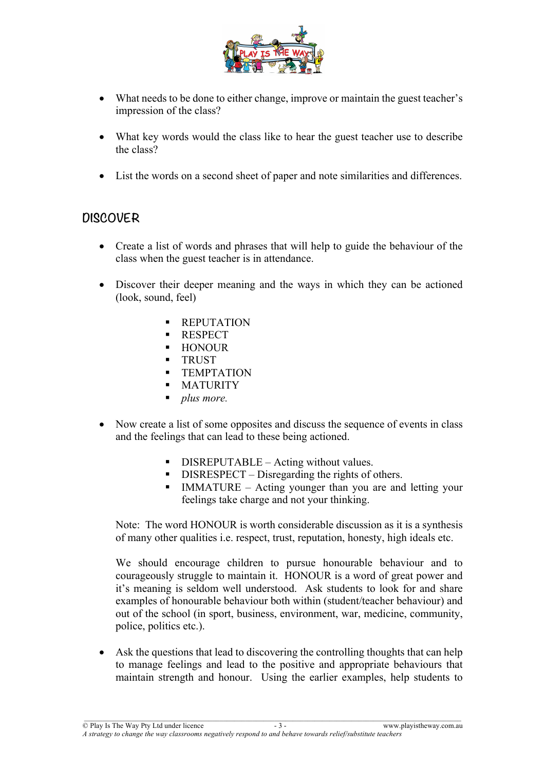

- What needs to be done to either change, improve or maintain the guest teacher's impression of the class?
- What key words would the class like to hear the guest teacher use to describe the class?
- List the words on a second sheet of paper and note similarities and differences.

## **DISCOVER**

- Create a list of words and phrases that will help to guide the behaviour of the class when the guest teacher is in attendance.
- Discover their deeper meaning and the ways in which they can be actioned (look, sound, feel)
	- § REPUTATION
	- RESPECT
	- § HONOUR
	- § TRUST
	- **TEMPTATION**
	- **MATURITY**
	- § *plus more.*
- Now create a list of some opposites and discuss the sequence of events in class and the feelings that can lead to these being actioned.
	- DISREPUTABLE Acting without values.
	- DISRESPECT Disregarding the rights of others.
	- IMMATURE Acting younger than you are and letting your feelings take charge and not your thinking.

Note: The word HONOUR is worth considerable discussion as it is a synthesis of many other qualities i.e. respect, trust, reputation, honesty, high ideals etc.

We should encourage children to pursue honourable behaviour and to courageously struggle to maintain it. HONOUR is a word of great power and it's meaning is seldom well understood. Ask students to look for and share examples of honourable behaviour both within (student/teacher behaviour) and out of the school (in sport, business, environment, war, medicine, community, police, politics etc.).

• Ask the questions that lead to discovering the controlling thoughts that can help to manage feelings and lead to the positive and appropriate behaviours that maintain strength and honour. Using the earlier examples, help students to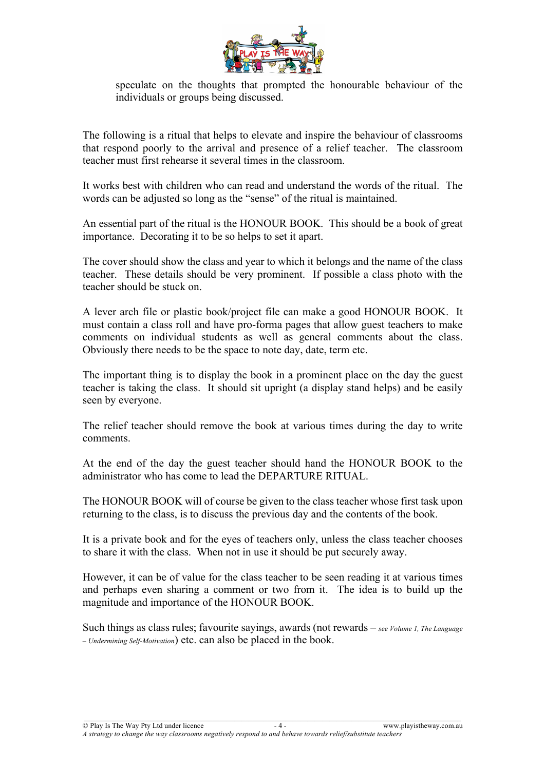

speculate on the thoughts that prompted the honourable behaviour of the individuals or groups being discussed.

The following is a ritual that helps to elevate and inspire the behaviour of classrooms that respond poorly to the arrival and presence of a relief teacher. The classroom teacher must first rehearse it several times in the classroom.

It works best with children who can read and understand the words of the ritual. The words can be adjusted so long as the "sense" of the ritual is maintained.

An essential part of the ritual is the HONOUR BOOK. This should be a book of great importance. Decorating it to be so helps to set it apart.

The cover should show the class and year to which it belongs and the name of the class teacher. These details should be very prominent. If possible a class photo with the teacher should be stuck on.

A lever arch file or plastic book/project file can make a good HONOUR BOOK. It must contain a class roll and have pro-forma pages that allow guest teachers to make comments on individual students as well as general comments about the class. Obviously there needs to be the space to note day, date, term etc.

The important thing is to display the book in a prominent place on the day the guest teacher is taking the class. It should sit upright (a display stand helps) and be easily seen by everyone.

The relief teacher should remove the book at various times during the day to write comments.

At the end of the day the guest teacher should hand the HONOUR BOOK to the administrator who has come to lead the DEPARTURE RITUAL.

The HONOUR BOOK will of course be given to the class teacher whose first task upon returning to the class, is to discuss the previous day and the contents of the book.

It is a private book and for the eyes of teachers only, unless the class teacher chooses to share it with the class. When not in use it should be put securely away.

However, it can be of value for the class teacher to be seen reading it at various times and perhaps even sharing a comment or two from it. The idea is to build up the magnitude and importance of the HONOUR BOOK.

Such things as class rules; favourite sayings, awards (not rewards – *see Volume 1, The Language – Undermining Self-Motivation*) etc. can also be placed in the book.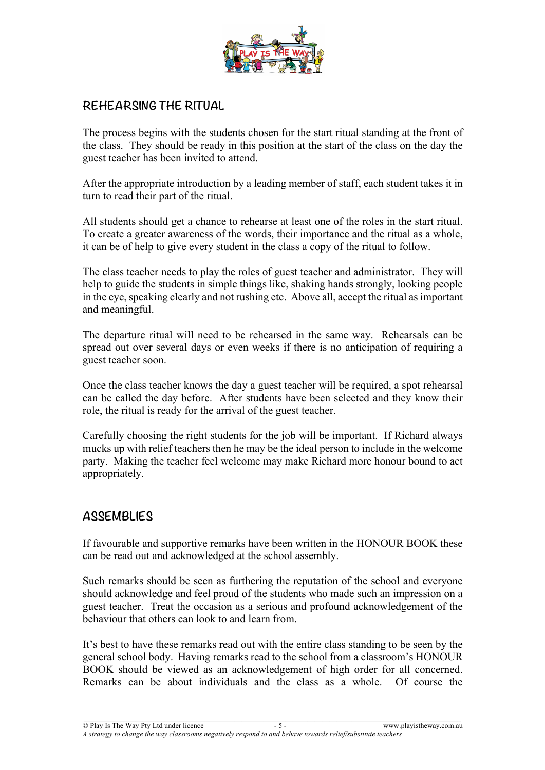

# **REHEARSING THE RITUAL**

The process begins with the students chosen for the start ritual standing at the front of the class. They should be ready in this position at the start of the class on the day the guest teacher has been invited to attend.

After the appropriate introduction by a leading member of staff, each student takes it in turn to read their part of the ritual.

All students should get a chance to rehearse at least one of the roles in the start ritual. To create a greater awareness of the words, their importance and the ritual as a whole, it can be of help to give every student in the class a copy of the ritual to follow.

The class teacher needs to play the roles of guest teacher and administrator. They will help to guide the students in simple things like, shaking hands strongly, looking people in the eye, speaking clearly and not rushing etc. Above all, accept the ritual as important and meaningful.

The departure ritual will need to be rehearsed in the same way. Rehearsals can be spread out over several days or even weeks if there is no anticipation of requiring a guest teacher soon.

Once the class teacher knows the day a guest teacher will be required, a spot rehearsal can be called the day before. After students have been selected and they know their role, the ritual is ready for the arrival of the guest teacher.

Carefully choosing the right students for the job will be important. If Richard always mucks up with relief teachers then he may be the ideal person to include in the welcome party. Making the teacher feel welcome may make Richard more honour bound to act appropriately.

#### **ASSEMBLIES**

If favourable and supportive remarks have been written in the HONOUR BOOK these can be read out and acknowledged at the school assembly.

Such remarks should be seen as furthering the reputation of the school and everyone should acknowledge and feel proud of the students who made such an impression on a guest teacher. Treat the occasion as a serious and profound acknowledgement of the behaviour that others can look to and learn from.

It's best to have these remarks read out with the entire class standing to be seen by the general school body. Having remarks read to the school from a classroom's HONOUR BOOK should be viewed as an acknowledgement of high order for all concerned. Remarks can be about individuals and the class as a whole. Of course the

© Play Is The Way Pty Ltd under licence - 5 - www.playistheway.com.au *A strategy to change the way classrooms negatively respond to and behave towards relief/substitute teachers*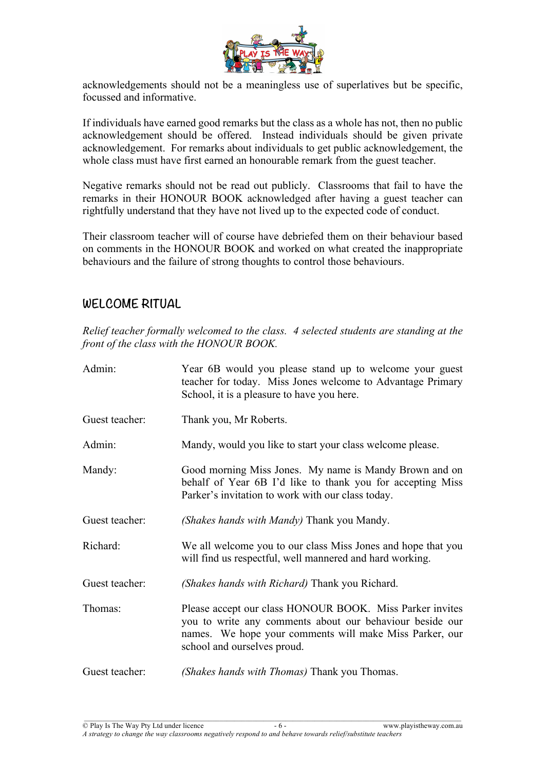

acknowledgements should not be a meaningless use of superlatives but be specific, focussed and informative.

If individuals have earned good remarks but the class as a whole has not, then no public acknowledgement should be offered. Instead individuals should be given private acknowledgement. For remarks about individuals to get public acknowledgement, the whole class must have first earned an honourable remark from the guest teacher.

Negative remarks should not be read out publicly. Classrooms that fail to have the remarks in their HONOUR BOOK acknowledged after having a guest teacher can rightfully understand that they have not lived up to the expected code of conduct.

Their classroom teacher will of course have debriefed them on their behaviour based on comments in the HONOUR BOOK and worked on what created the inappropriate behaviours and the failure of strong thoughts to control those behaviours.

## **WELCOME RITUAL**

*Relief teacher formally welcomed to the class. 4 selected students are standing at the front of the class with the HONOUR BOOK.*

| Admin:         | Year 6B would you please stand up to welcome your guest<br>teacher for today. Miss Jones welcome to Advantage Primary<br>School, it is a pleasure to have you here.                                            |
|----------------|----------------------------------------------------------------------------------------------------------------------------------------------------------------------------------------------------------------|
| Guest teacher: | Thank you, Mr Roberts.                                                                                                                                                                                         |
| Admin:         | Mandy, would you like to start your class welcome please.                                                                                                                                                      |
| Mandy:         | Good morning Miss Jones. My name is Mandy Brown and on<br>behalf of Year 6B I'd like to thank you for accepting Miss<br>Parker's invitation to work with our class today.                                      |
| Guest teacher: | (Shakes hands with Mandy) Thank you Mandy.                                                                                                                                                                     |
| Richard:       | We all welcome you to our class Miss Jones and hope that you<br>will find us respectful, well mannered and hard working.                                                                                       |
| Guest teacher: | (Shakes hands with Richard) Thank you Richard.                                                                                                                                                                 |
| Thomas:        | Please accept our class HONOUR BOOK. Miss Parker invites<br>you to write any comments about our behaviour beside our<br>names. We hope your comments will make Miss Parker, our<br>school and ourselves proud. |
| Guest teacher: | (Shakes hands with Thomas) Thank you Thomas.                                                                                                                                                                   |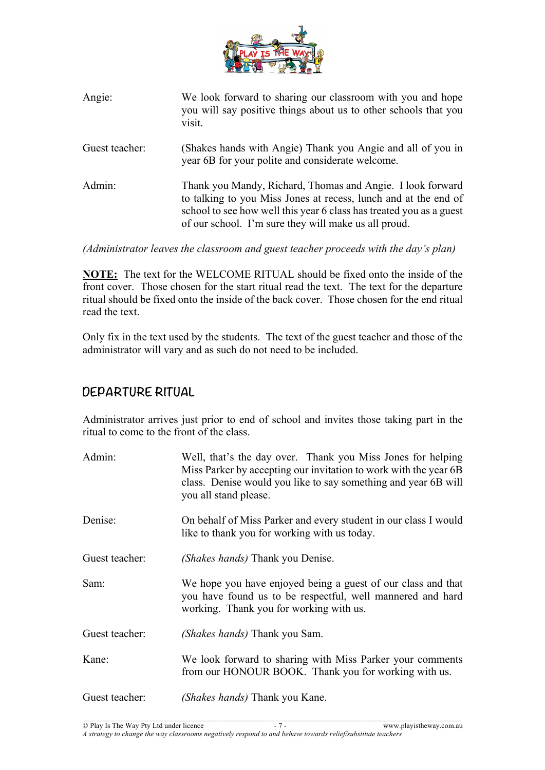

| Angie:         | We look forward to sharing our classroom with you and hope<br>you will say positive things about us to other schools that you<br>visit.                                                                                                                      |
|----------------|--------------------------------------------------------------------------------------------------------------------------------------------------------------------------------------------------------------------------------------------------------------|
| Guest teacher: | (Shakes hands with Angie) Thank you Angie and all of you in<br>year 6B for your polite and considerate welcome.                                                                                                                                              |
| Admin:         | Thank you Mandy, Richard, Thomas and Angie. I look forward<br>to talking to you Miss Jones at recess, lunch and at the end of<br>school to see how well this year 6 class has treated you as a guest<br>of our school. I'm sure they will make us all proud. |

*(Administrator leaves the classroom and guest teacher proceeds with the day's plan)*

**NOTE:** The text for the WELCOME RITUAL should be fixed onto the inside of the front cover. Those chosen for the start ritual read the text. The text for the departure ritual should be fixed onto the inside of the back cover. Those chosen for the end ritual read the text.

Only fix in the text used by the students. The text of the guest teacher and those of the administrator will vary and as such do not need to be included.

# **DEPARTURE RITUAL**

Administrator arrives just prior to end of school and invites those taking part in the ritual to come to the front of the class.

| Admin:         | Well, that's the day over. Thank you Miss Jones for helping<br>Miss Parker by accepting our invitation to work with the year 6B<br>class. Denise would you like to say something and year 6B will<br>you all stand please. |
|----------------|----------------------------------------------------------------------------------------------------------------------------------------------------------------------------------------------------------------------------|
| Denise:        | On behalf of Miss Parker and every student in our class I would<br>like to thank you for working with us today.                                                                                                            |
| Guest teacher: | (Shakes hands) Thank you Denise.                                                                                                                                                                                           |
| Sam:           | We hope you have enjoyed being a guest of our class and that<br>you have found us to be respectful, well mannered and hard<br>working. Thank you for working with us.                                                      |
| Guest teacher: | (Shakes hands) Thank you Sam.                                                                                                                                                                                              |
| Kane:          | We look forward to sharing with Miss Parker your comments<br>from our HONOUR BOOK. Thank you for working with us.                                                                                                          |
| Guest teacher: | (Shakes hands) Thank you Kane.                                                                                                                                                                                             |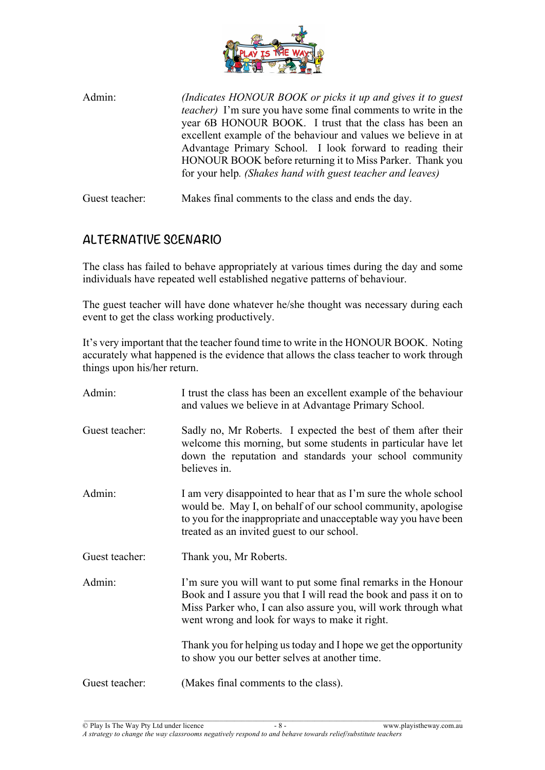

Admin: *(Indicates HONOUR BOOK or picks it up and gives it to guest teacher)* I'm sure you have some final comments to write in the year 6B HONOUR BOOK. I trust that the class has been an excellent example of the behaviour and values we believe in at Advantage Primary School. I look forward to reading their HONOUR BOOK before returning it to Miss Parker. Thank you for your help*. (Shakes hand with guest teacher and leaves)*

Guest teacher: Makes final comments to the class and ends the day.

# **ALTERNATIVE SCENARIO**

The class has failed to behave appropriately at various times during the day and some individuals have repeated well established negative patterns of behaviour.

The guest teacher will have done whatever he/she thought was necessary during each event to get the class working productively.

It's very important that the teacher found time to write in the HONOUR BOOK. Noting accurately what happened is the evidence that allows the class teacher to work through things upon his/her return.

| Admin:         | I trust the class has been an excellent example of the behaviour<br>and values we believe in at Advantage Primary School.                                                                                                                               |
|----------------|---------------------------------------------------------------------------------------------------------------------------------------------------------------------------------------------------------------------------------------------------------|
| Guest teacher: | Sadly no, Mr Roberts. I expected the best of them after their<br>welcome this morning, but some students in particular have let<br>down the reputation and standards your school community<br>believes in.                                              |
| Admin:         | I am very disappointed to hear that as I'm sure the whole school<br>would be. May I, on behalf of our school community, apologise<br>to you for the inappropriate and unacceptable way you have been<br>treated as an invited guest to our school.      |
| Guest teacher: | Thank you, Mr Roberts.                                                                                                                                                                                                                                  |
| Admin:         | I'm sure you will want to put some final remarks in the Honour<br>Book and I assure you that I will read the book and pass it on to<br>Miss Parker who, I can also assure you, will work through what<br>went wrong and look for ways to make it right. |
|                | Thank you for helping us today and I hope we get the opportunity<br>to show you our better selves at another time.                                                                                                                                      |
| Guest teacher: | (Makes final comments to the class).                                                                                                                                                                                                                    |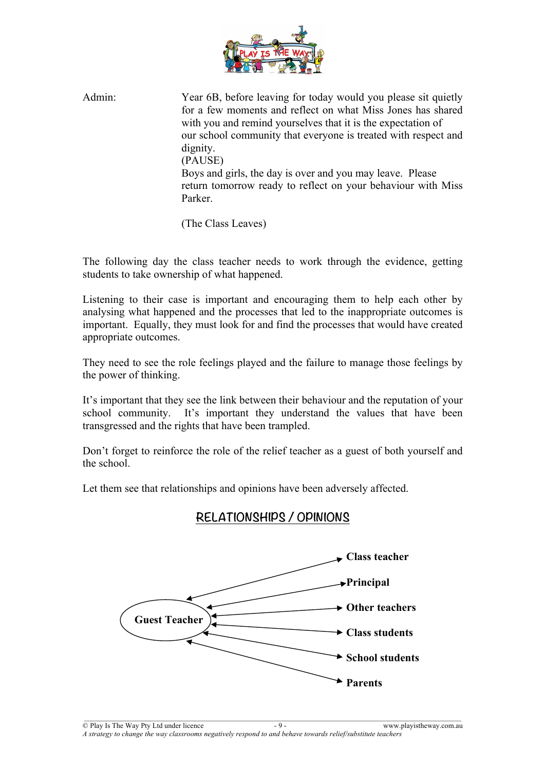

Admin: Year 6B, before leaving for today would you please sit quietly for a few moments and reflect on what Miss Jones has shared with you and remind yourselves that it is the expectation of our school community that everyone is treated with respect and dignity. (PAUSE) Boys and girls, the day is over and you may leave. Please return tomorrow ready to reflect on your behaviour with Miss Parker.

(The Class Leaves)

The following day the class teacher needs to work through the evidence, getting students to take ownership of what happened.

Listening to their case is important and encouraging them to help each other by analysing what happened and the processes that led to the inappropriate outcomes is important. Equally, they must look for and find the processes that would have created appropriate outcomes.

They need to see the role feelings played and the failure to manage those feelings by the power of thinking.

It's important that they see the link between their behaviour and the reputation of your school community. It's important they understand the values that have been transgressed and the rights that have been trampled.

Don't forget to reinforce the role of the relief teacher as a guest of both yourself and the school.

Let them see that relationships and opinions have been adversely affected.

## **RELATIONSHIPS / OPINIONS**